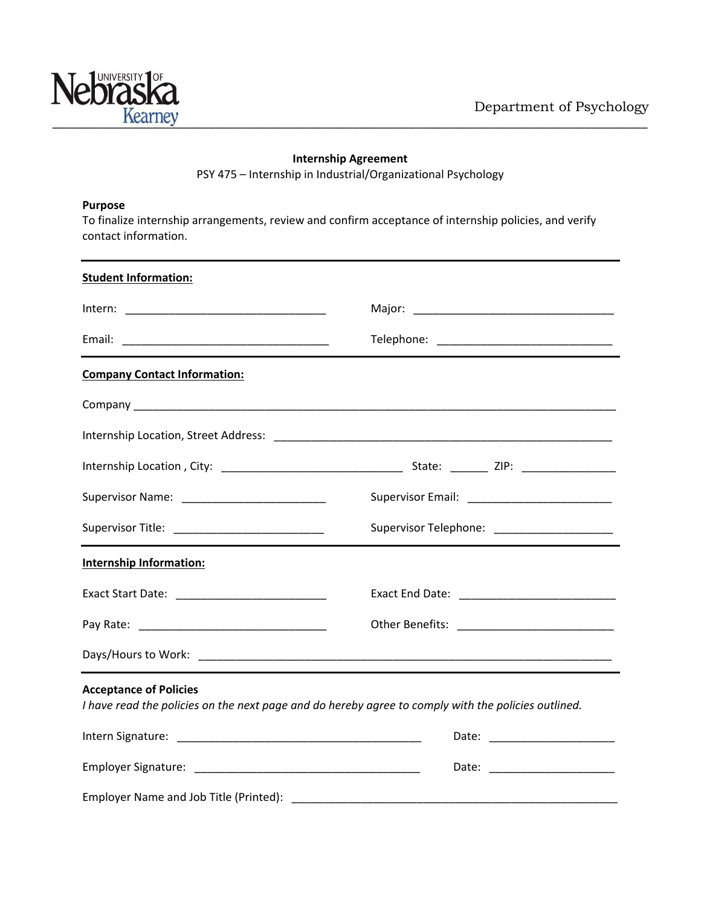

## **Internship Agreement**

PSY 475 – Internship in Industrial/Organizational Psychology

## **Purpose**

To finalize internship arrangements, review and confirm acceptance of internship policies, and verify contact information.

| <b>Student Information:</b>                                                                                                          |                                                |
|--------------------------------------------------------------------------------------------------------------------------------------|------------------------------------------------|
|                                                                                                                                      |                                                |
|                                                                                                                                      |                                                |
| <b>Company Contact Information:</b>                                                                                                  |                                                |
|                                                                                                                                      |                                                |
|                                                                                                                                      |                                                |
|                                                                                                                                      |                                                |
|                                                                                                                                      | Supervisor Email: ____________________________ |
| Supervisor Title: ______________________________                                                                                     | Supervisor Telephone: ______________________   |
| <b>Internship Information:</b>                                                                                                       |                                                |
|                                                                                                                                      |                                                |
|                                                                                                                                      |                                                |
|                                                                                                                                      |                                                |
| <b>Acceptance of Policies</b><br>I have read the policies on the next page and do hereby agree to comply with the policies outlined. |                                                |
|                                                                                                                                      |                                                |
|                                                                                                                                      |                                                |
|                                                                                                                                      |                                                |